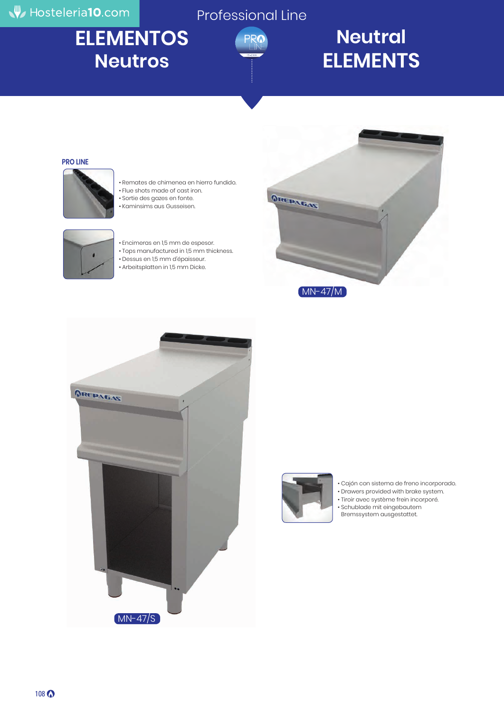## Hosteleria10.com

Professional Line

# **ELEMENTOS Neutros**



## **Neutral ELEMENTS**

#### **PRO LINE**



- Remates de chimenea en hierro fundido. • Flue shots made of cast iron.
- Sortie des gazes en fonte.
- Kaminsims aus Gusseisen.



- 
- Encimeras en 1,5 mm de espesor.
	- Tops manufactured in 1,5 mm thickness.
	- Dessus en 1,5 mm d'épaisseur.
- Arbeitsplatten in 1,5 mm Dicke.





![](_page_0_Picture_18.jpeg)

• Cajón con sistema de freno incorporado.

• Drawers provided with brake system.

• Tiroir avec système frein incorporé.

• Schublade mit eingebautem Bremssystem ausgestattet.